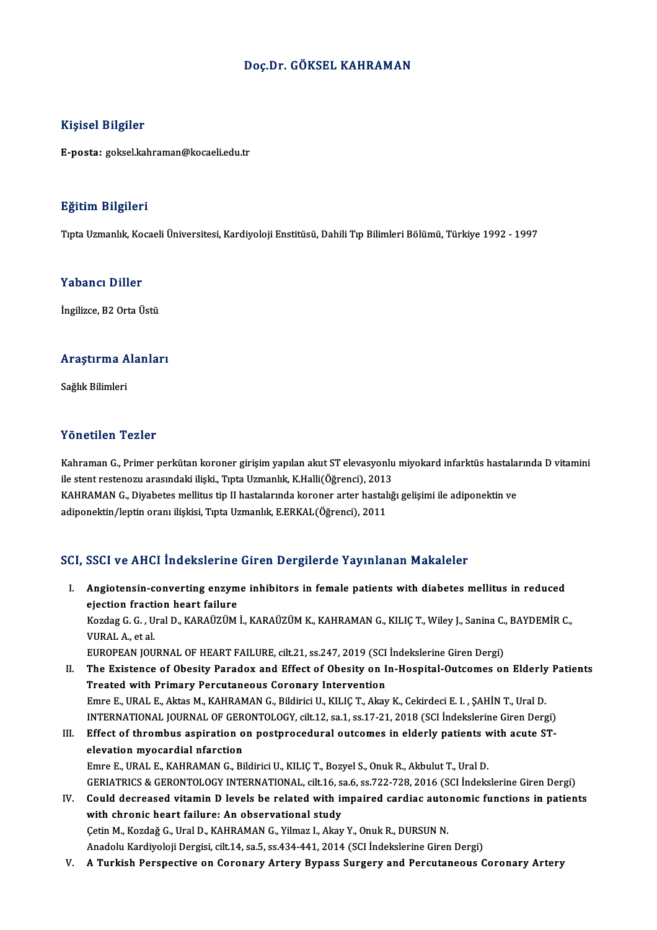## Doç.Dr. GÖKSEL KAHRAMAN

## Kişisel Bilgiler

E-posta: goksel.kahraman@kocaeli.edu.tr

### Eğitim Bilgileri

TıptaUzmanlık,KocaeliÜniversitesi,KardiyolojiEnstitüsü,DahiliTıpBilimleriBölümü,Türkiye 1992 -1997

## Yabancı Diller

İngilizce, B2 Orta Üstü

# nginzce, 62 orta ostu<br>Araştırma Alanları <mark>Araştırma A</mark><br>Sağlık Bilimleri

# Yönetilen Tezler

Yönetilen Tezler<br>Kahraman G., Primer perkütan koroner girişim yapılan akut ST elevasyonlu miyokard infarktüs hastalarında D vitamini<br>ilə start restanazy arasındaki iliski. Turta Uzmanlık, K.Halli(Öğrensi), 2012 ile stendar ile stendar<br>Kahraman G., Primer perkütan koroner girişim yapılan akut ST elevasyonlu<br>ile stent restenozu arasındaki ilişki., Tıpta Uzmanlık, K.Halli(Öğrenci), 2013<br>KAHPAMAN C. Divebatas mallitus tip II bastalar Kahraman G., Primer perkütan koroner girişim yapılan akut ST elevasyonlu miyokard infarktüs hastala:<br>ile stent restenozu arasındaki ilişki., Tıpta Uzmanlık, K.Halli(Öğrenci), 2013<br>KAHRAMAN G., Diyabetes mellitus tip II has ile stent restenozu arasındaki ilişki., Tıpta Uzmanlık, K.Halli(Öğrenci), 2013<br>KAHRAMAN G., Diyabetes mellitus tip II hastalarında koroner arter hastalığı gelişimi ile adiponektin ve<br>adiponektin/leptin oranı ilişkisi, Tıpt

# SCI, SSCI ve AHCI İndekslerine Giren Dergilerde Yayınlanan Makaleler

- CI, SSCI ve AHCI İndekslerine Giren Dergilerde Yayınlanan Makaleler<br>I. Angiotensin-converting enzyme inhibitors in female patients with diabetes mellitus in reduced<br>ciestion frestion beent failure election fraction fraction fraction<br>ejection fraction heart failure<br>Verdes C.C. Ural D. VARAÜZÜM Angiotensin-converting enzyme inhibitors in female patients with diabetes mellitus in reduced<br>ejection fraction heart failure<br>Kozdag G. G. , Ural D., KARAÜZÜM İ., KARAÜZÜM K., KAHRAMAN G., KILIÇ T., Wiley J., Sanina C., BA ejection fracti<br>Kozdag G. G. , U<br>VURAL A., et al.<br>EUROPEAN IOU Kozdag G. G. , Ural D., KARAÜZÜM İ., KARAÜZÜM K., KAHRAMAN G., KILIÇ T., Wiley J., Sanina C.,<br>VURAL A., et al.<br>EUROPEAN JOURNAL OF HEART FAILURE, cilt.21, ss.247, 2019 (SCI İndekslerine Giren Dergi)<br>The Existence of Obesit VURAL A., et al.<br>EUROPEAN JOURNAL OF HEART FAILURE, cilt.21, ss.247, 2019 (SCI İndekslerine Giren Dergi)<br>II. The Existence of Obesity Paradox and Effect of Obesity on In-Hospital-Outcomes on Elderly Patients<br>Treated with P
- EUROPEAN JOURNAL OF HEART FAILURE, cilt.21, ss.247, 2019 (SCI Indekslerine Giren Dergi)<br>The Existence of Obesity Paradox and Effect of Obesity on In-Hospital-Outcomes on Elderly<br>Treated with Primary Percutaneous Coronary I The Existence of Obesity Paradox and Effect of Obesity on In-Hospital-Outcomes on Elderly<br>Treated with Primary Percutaneous Coronary Intervention<br>Emre E., URAL E., Aktas M., KAHRAMAN G., Bildirici U., KILIÇ T., Akay K., Ce Treated with Primary Percutaneous Coronary Intervention<br>Emre E., URAL E., Aktas M., KAHRAMAN G., Bildirici U., KILIÇ T., Akay K., Cekirdeci E. I. , ŞAHİN T., Ural D.<br>INTERNATIONAL JOURNAL OF GERONTOLOGY, cilt.12, sa.1, ss. Emre E., URAL E., Aktas M., KAHRAMAN G., Bildirici U., KILIÇ T., Akay K., Cekirdeci E. I. , ŞAHİN T., Ural D.<br>INTERNATIONAL JOURNAL OF GERONTOLOGY, cilt.12, sa.1, ss.17-21, 2018 (SCI İndekslerine Giren Dergi)<br>III. Effect o
- INTERNATIONAL JOURNAL OF GER<br>Effect of thrombus aspiration of<br>elevation myocardial nfarction<br>Emre E URAL E KAHRAMANC Bi Effect of thrombus aspiration on postprocedural outcomes in elderly patients with acute ST-<br>elevation myocardial nfarction<br>Emre E., URAL E., KAHRAMAN G., Bildirici U., KILIÇ T., Bozyel S., Onuk R., Akbulut T., Ural D. elevation myocardial nfarction<br>Emre E., URAL E., KAHRAMAN G., Bildirici U., KILIÇ T., Bozyel S., Onuk R., Akbulut T., Ural D.<br>GERIATRICS & GERONTOLOGY INTERNATIONAL, cilt.16, sa.6, ss.722-728, 2016 (SCI İndekslerine Giren Emre E., URAL E., KAHRAMAN G., Bildirici U., KILIÇ T., Bozyel S., Onuk R., Akbulut T., Ural D.<br>GERIATRICS & GERONTOLOGY INTERNATIONAL, cilt.16, sa.6, ss.722-728, 2016 (SCI Indekslerine Giren Dergi)<br>IV. Could decreased vita
- GERIATRICS & GERONTOLOGY INTERNATIONAL, cilt.16, s.<br>Could decreased vitamin D levels be related with in<br>with chronic heart failure: An observational study<br>Cetin M. Kerdež C. Ural D. KAHBAMAN C. Vilmer L. Alcu Could decreased vitamin D levels be related with impaired cardiac auto<br>with chronic heart failure: An observational study<br>Çetin M., Kozdağ G., Ural D., KAHRAMAN G., Yilmaz I., Akay Y., Onuk R., DURSUN N.<br>Anadely Kardivelej with chronic heart failure: An observational study<br>Çetin M., Kozdağ G., Ural D., KAHRAMAN G., Yilmaz I., Akay Y., Onuk R., DURSUN N.<br>Anadolu Kardiyoloji Dergisi, cilt.14, sa.5, ss.434-441, 2014 (SCI İndekslerine Giren Derg
- V. A Turkish Perspective on Coronary Artery Bypass Surgery and Percutaneous Coronary Artery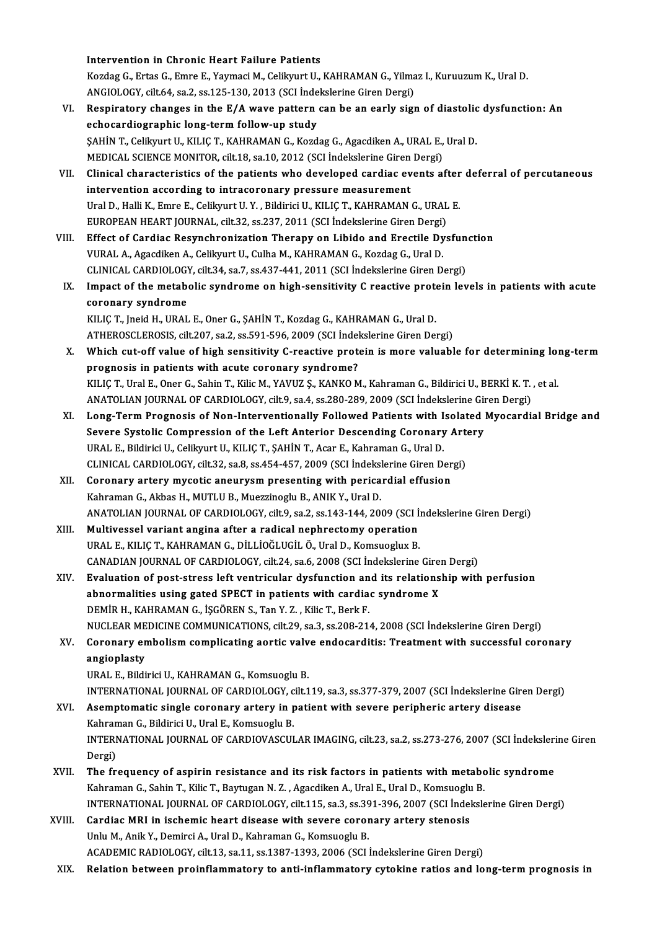Intervention in Chronic Heart Failure Patients Intervention in Chronic Heart Failure Patients<br>Kozdag G., Ertas G., Emre E., Yaymaci M., Celikyurt U., KAHRAMAN G., Yilmaz I., Kuruuzum K., Ural D.<br>ANGIOLOGY, silt 64, 88.3, 88.135.130, 2012 (SGL Indekslering Giren Dergi) Intervention in Chronic Heart Failure Patients<br>Kozdag G., Ertas G., Emre E., Yaymaci M., Celikyurt U., KAHRAMAN G., Yilma<br>ANGIOLOGY, cilt.64, sa.2, ss.125-130, 2013 (SCI İndekslerine Giren Dergi)<br>Beaninatory shangas in the ANGIOLOGY, cilt.64, sa.2, ss.125-130, 2013 (SCI Indekslerine Giren Dergi)

- VI. Respiratory changes in the E/A wave pattern can be an early sign of diastolic dysfunction: An Respiratory changes in the E/A wave pattern can be an early sign of diastolic<br>echocardiographic long-term follow-up study<br>ŞAHİN T., Celikyurt U., KILIÇ T., KAHRAMAN G., Kozdag G., Agacdiken A., URAL E., Ural D.<br>MEDICAL SCI echocardiographic long-term follow-up study<br>ŞAHİN T., Celikyurt U., KILIÇ T., KAHRAMAN G., Kozdag G., Agacdiken A., URAL E.,<br>MEDICAL SCIENCE MONITOR, cilt.18, sa.10, 2012 (SCI İndekslerine Giren Dergi)<br>Clinisal sharastaris MEDICAL SCIENCE MONITOR, cilt.18, sa.10, 2012 (SCI Indekslerine Giren Dergi)<br>VII. Clinical characteristics of the patients who developed cardiac events after deferral of percutaneous
- intervention according to intracoronary pressure measurement Clinical characteristics of the patients who developed cardiac events after<br>intervention according to intracoronary pressure measurement<br>Ural D., Halli K., Emre E., Celikyurt U.Y. , Bildirici U., KILIÇ T., KAHRAMAN G., URA intervention according to intracoronary pressure measurement<br>Ural D., Halli K., Emre E., Celikyurt U. Y. , Bildirici U., KILIÇ T., KAHRAMAN G., URAL<br>EUROPEAN HEART JOURNAL, cilt.32, ss.237, 2011 (SCI İndekslerine Giren Der EUROPEAN HEART JOURNAL, cilt.32, ss.237, 2011 (SCI Indekslerine Giren Dergi)<br>VIII. Effect of Cardiac Resynchronization Therapy on Libido and Erectile Dysfunction
- VURAL A., Agacdiken A., Celikyurt U., Culha M., KAHRAMAN G., Kozdag G., Ural D. Effect of Cardiac Resynchronization Therapy on Libido and Erectile Dysfun<br>VURAL A., Agacdiken A., Celikyurt U., Culha M., KAHRAMAN G., Kozdag G., Ural D.<br>CLINICAL CARDIOLOGY, cilt.34, sa.7, ss.437-441, 2011 (SCI İndeksleri VURAL A., Agacdiken A., Celikyurt U., Culha M., KAHRAMAN G., Kozdag G., Ural D.<br>CLINICAL CARDIOLOGY, cilt.34, sa.7, ss.437-441, 2011 (SCI İndekslerine Giren Dergi)<br>IX. Impact of the metabolic syndrome on high-sensitivity C
- CLINICAL CARDIOLOGY<br>Impact of the metabe<br>coronary syndrome Impact of the metabolic syndrome on high-sensitivity C reactive prote<br>coronary syndrome<br>KILIÇ T., Jneid H., URAL E., Oner G., ŞAHİN T., Kozdag G., KAHRAMAN G., Ural D.<br>ATHEROSCI EROSIS, Silt 207, sa 2, sa 501, 506, 2000 (S coronary syndrome<br>KILIÇ T., Jneid H., URAL E., Oner G., ŞAHİN T., Kozdag G., KAHRAMAN G., Ural D.<br>ATHEROSCLEROSIS, cilt.207, sa.2, ss.591-596, 2009 (SCI İndekslerine Giren Dergi)
- KILIÇ T., Jneid H., URAL E., Oner G., ŞAHİN T., Kozdag G., KAHRAMAN G., Ural D.<br>ATHEROSCLEROSIS, cilt.207, sa.2, ss.591-596, 2009 (SCI İndekslerine Giren Dergi)<br>X. Which cut-off value of high sensitivity C-reactive protein ATHEROSCLEROSIS, cilt.207, sa.2, ss.591-596, 2009 (SCI İndel<br>Which cut-off value of high sensitivity C-reactive proto<br>prognosis in patients with acute coronary syndrome?<br>KU IC T. Ural E. Oper C. Sobin T. Kilja M. VAVUZ S. Which cut-off value of high sensitivity C-reactive protein is more valuable for determining loi<br>prognosis in patients with acute coronary syndrome?<br>KILIÇ T., Ural E., Oner G., Sahin T., Kilic M., YAVUZ Ş., KANKO M., Kahram prognosis in patients with acute coronary syndrome?<br>KILIÇ T., Ural E., Oner G., Sahin T., Kilic M., YAVUZ Ş., KANKO M., Kahraman G., Bildirici U., BERKİ K. T. , et al.<br>ANATOLIAN JOURNAL OF CARDIOLOGY, cilt.9, sa.4, ss.280-
- KILIÇ T., Ural E., Oner G., Sahin T., Kilic M., YAVUZ Ş., KANKO M., Kahraman G., Bildirici U., BERKİ K. T. , et al.<br>ANATOLIAN JOURNAL OF CARDIOLOGY, cilt9, sa.4, ss.280-289, 2009 (SCI İndekslerine Giren Dergi)<br>XI. Long-Ter ANATOLIAN JOURNAL OF CARDIOLOGY, cilt9, sa.4, ss.280-289, 2009 (SCI İndekslerine Gir<br>Long-Term Prognosis of Non-Interventionally Followed Patients with Isolated |<br>Severe Systolic Compression of the Left Anterior Descending Long-Term Prognosis of Non-Interventionally Followed Patients with I<br>Severe Systolic Compression of the Left Anterior Descending Coronary<br>URAL E., Bildirici U., Celikyurt U., KILIÇ T., ŞAHİN T., Acar E., Kahraman G., Ural Severe Systolic Compression of the Left Anterior Descending Coronary Arte<br>URAL E., Bildirici U., Celikyurt U., KILIÇ T., ŞAHİN T., Acar E., Kahraman G., Ural D.<br>CLINICAL CARDIOLOGY, cilt.32, sa.8, ss.454-457, 2009 (SCI İnd URAL E., Bildirici U., Celikyurt U., KILIÇ T., ŞAHİN T., Acar E., Kahraman G., Ural D.<br>CLINICAL CARDIOLOGY, cilt.32, sa.8, ss.454-457, 2009 (SCI İndekslerine Giren Der<br>XII. Coronary artery mycotic aneurysm presenting with
- CLINICAL CARDIOLOGY, cilt.32, sa.8, ss.454-457, 2009 (SCI Indekslerine Giren Dergi)<br>XII. Coronary artery mycotic aneurysm presenting with pericardial effusion<br>Kahraman G., Akbas H., MUTLU B., Muezzinoglu B., ANIK Y., Ural Coronary artery mycotic aneurysm presenting with pericardial effusion<br>Kahraman G., Akbas H., MUTLU B., Muezzinoglu B., ANIK Y., Ural D.<br>ANATOLIAN JOURNAL OF CARDIOLOGY, cilt.9, sa.2, ss.143-144, 2009 (SCI İndekslerine Gire Kahraman G., Akbas H., MUTLU B., Muezzinoglu B., ANIK Y., Ural D.<br>ANATOLIAN JOURNAL OF CARDIOLOGY, cilt.9, sa.2, ss.143-144, 2009 (SCI İ<br>XIII. Multivessel variant angina after a radical nephrectomy operation<br>URAL E. KULG T
- ANATOLIAN JOURNAL OF CARDIOLOGY, cilt9, sa.2, ss.143-144, 2009 (SCI İn<br>Multivessel variant angina after a radical nephrectomy operation<br>URAL E., KILIÇ T., KAHRAMAN G., DİLLİOĞLUGİL Ö., Ural D., Komsuoglux B.<br>CANADIAN JOURN Multivessel variant angina after a radical nephrectomy operation<br>URAL E., KILIÇ T., KAHRAMAN G., DİLLİOĞLUGİL Ö., Ural D., Komsuoglux B.<br>CANADIAN JOURNAL OF CARDIOLOGY, cilt.24, sa.6, 2008 (SCI İndekslerine Giren Dergi)<br>Fu URAL E., KILIÇ T., KAHRAMAN G., DİLLİOĞLUGİL Ö., Ural D., Komsuoglux B.<br>CANADIAN JOURNAL OF CARDIOLOGY, cilt.24, sa.6, 2008 (SCI İndekslerine Giren Dergi)<br>XIV. Evaluation of post-stress left ventricular dysfunction and its
- CANADIAN JOURNAL OF CARDIOLOGY, cilt.24, sa.6, 2008 (SCI Indekslerine Gire:<br>Evaluation of post-stress left ventricular dysfunction and its relations<br>abnormalities using gated SPECT in patients with cardiac syndrome X<br>DEMID DEMİRH.,KAHRAMANG., İŞGÖRENS.,TanY.Z. ,KilicT.,BerkF. abnormalities using gated SPECT in patients with cardiac syndrome X<br>DEMİR H., KAHRAMAN G., İŞGÖREN S., Tan Y. Z. , Kilic T., Berk F.<br>NUCLEAR MEDICINE COMMUNICATIONS, cilt.29, sa.3, ss.208-214, 2008 (SCI İndekslerine Giren DEMİR H., KAHRAMAN G., İŞGÖREN S., Tan Y. Z. , Kilic T., Berk F.<br>NUCLEAR MEDICINE COMMUNICATIONS, cilt.29, sa.3, ss.208-214, 2008 (SCI İndekslerine Giren Dergi)<br>XV. Coronary embolism complicating aortic valve endocardi
- NUCLEAR ME<br>Coronary en<br>angioplasty<br>UPALE Pildi Coronary embolism complicating aortic valv<br>angioplasty<br>URAL E., Bildirici U., KAHRAMAN G., Komsuoglu B.<br>INTERNATIONAL JOURNAL OF CARDIOLOCY, silt 1 angioplasty<br>URAL E., Bildirici U., KAHRAMAN G., Komsuoglu B.<br>INTERNATIONAL JOURNAL OF CARDIOLOGY, cilt.119, sa.3, ss.377-379, 2007 (SCI İndekslerine Giren Dergi)

- URAL E., Bildirici U., KAHRAMAN G., Komsuoglu B.<br>INTERNATIONAL JOURNAL OF CARDIOLOGY, cilt.119, sa.3, ss.377-379, 2007 (SCI İndekslerine Giro<br>XVI. Asemptomatic single coronary artery in patient with severe peripheric arter INTERNATIONAL JOURNAL OF CARDIOLOGY, c<br>Asemptomatic single coronary artery in p<br>Kahraman G., Bildirici U., Ural E., Komsuoglu B.<br>INTERNATIONAL JOURNAL OF CARDIOVASCUL INTERNATIONAL JOURNAL OF CARDIOVASCULAR IMAGING, cilt.23, sa.2, ss.273-276, 2007 (SCI İndekslerine Giren<br>Dergi) Kahraman G., Bildirici U., Ural E., Komsuoglu B. INTERNATIONAL JOURNAL OF CARDIOVASCULAR IMAGING, cilt.23, sa.2, ss.273-276, 2007 (SCI İndeksleri<br>Dergi)<br>XVII. The frequency of aspirin resistance and its risk factors in patients with metabolic syndrome<br>Kehraman G. Sehin T
- Dergi)<br>The frequency of aspirin resistance and its risk factors in patients with metabo<br>Kahraman G., Sahin T., Kilic T., Baytugan N. Z. , Agacdiken A., Ural E., Ural D., Komsuoglu B.<br>INTERNATIONAL JOURNAL OF GARDIOLOCY si<sup></sup> The frequency of aspirin resistance and its risk factors in patients with metabolic syndrome<br>Kahraman G., Sahin T., Kilic T., Baytugan N. Z. , Agacdiken A., Ural E., Ural D., Komsuoglu B.<br>INTERNATIONAL JOURNAL OF CARDIOLOG Kahraman G., Sahin T., Kilic T., Baytugan N. Z. , Agacdiken A., Ural E., Ural D., Komsuoglu<br>INTERNATIONAL JOURNAL OF CARDIOLOGY, cilt.115, sa.3, ss.391-396, 2007 (SCI İndel<br>XVIII. Cardiac MRI in ischemic heart disease with
- INTERNATIONAL JOURNAL OF CARDIOLOGY, cilt.115, sa.3, ss.39<br>Cardiac MRI in ischemic heart disease with severe coror<br>Unlu M., Anik Y., Demirci A., Ural D., Kahraman G., Komsuoglu B.<br>ACADEMIC RADIOLOGY, silt.13, ss.11, ss.129 XVIII. Cardiac MRI in ischemic heart disease with severe coronary artery stenosis<br>Unlu M., Anik Y., Demirci A., Ural D., Kahraman G., Komsuoglu B.<br>ACADEMIC RADIOLOGY, cilt.13, sa.11, ss.1387-1393, 2006 (SCI İndekslerine Gi

XIX. Relation between proinflammatory to anti-inflammatory cytokine ratios and long-termprognosis in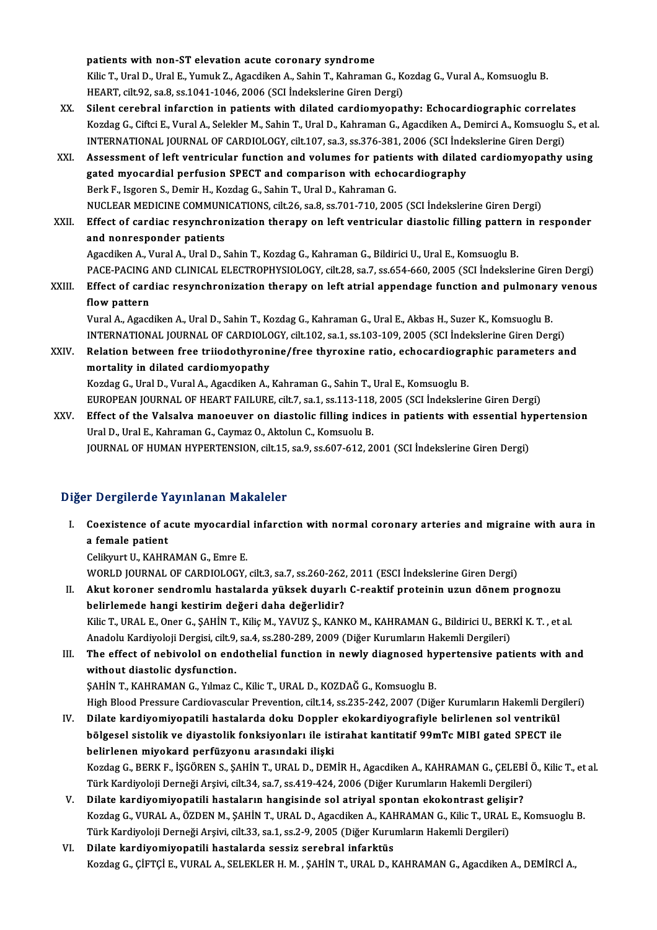patients with non-ST elevation acute coronary syndrome

patients with non-ST elevation acute coronary syndrome<br>Kilic T., Ural D., Ural E., Yumuk Z., Agacdiken A., Sahin T., Kahraman G., Kozdag G., Vural A., Komsuoglu B.<br>HEAPT, silt 93, ss 8, ss 1041,1046, 2006 (SCL Indekakrine patients with non-ST elevation acute coronary syndrome<br>Kilic T., Ural D., Ural E., Yumuk Z., Agacdiken A., Sahin T., Kahraman G., K.<br>HEART, cilt.92, sa.8, ss.1041-1046, 2006 (SCI İndekslerine Giren Dergi)<br>Silent senebral i Kilic T., Ural D., Ural E., Yumuk Z., Agacdiken A., Sahin T., Kahraman G., Kozdag G., Vural A., Komsuoglu B.<br>HEART, cilt.92, sa.8, ss.1041-1046, 2006 (SCI Indekslerine Giren Dergi)<br>XX. Silent cerebral infarction in patient

- HEART, cilt.92, sa.8, ss.1041-1046, 2006 (SCI Indekslerine Giren Dergi)<br>Silent cerebral infarction in patients with dilated cardiomyopathy: Echocardiographic correlates<br>Kozdag G., Ciftci E., Vural A., Selekler M., Sahin T. Silent cerebral infarction in patients with dilated cardiomyopathy: Echocardiographic correlate<br>Kozdag G., Ciftci E., Vural A., Selekler M., Sahin T., Ural D., Kahraman G., Agacdiken A., Demirci A., Komsuoglu<br>INTERNATIONAL Kozdag G., Ciftci E., Vural A., Selekler M., Sahin T., Ural D., Kahraman G., Agacdiken A., Demirci A., Komsuoglu S., et al<br>INTERNATIONAL JOURNAL OF CARDIOLOGY, cilt.107, sa.3, ss.376-381, 2006 (SCI İndekslerine Giren Dergi
- INTERNATIONAL JOURNAL OF CARDIOLOGY, cilt.107, sa.3, ss.376-381, 2006 (SCI inde<br>Assessment of left ventricular function and volumes for patients with dilate<br>gated myocardial perfusion SPECT and comparison with echocardiogr Assessment of left ventricular function and volumes for patie<br>gated myocardial perfusion SPECT and comparison with echo<br>Berk F., Isgoren S., Demir H., Kozdag G., Sahin T., Ural D., Kahraman G.<br>NUCLEAR MEDICINE COMMUNICATIO gated myocardial perfusion SPECT and comparison with echocardiography<br>Berk F., Isgoren S., Demir H., Kozdag G., Sahin T., Ural D., Kahraman G.<br>NUCLEAR MEDICINE COMMUNICATIONS, cilt.26, sa.8, ss.701-710, 2005 (SCI İndeksler Berk F., Isgoren S., Demir H., Kozdag G., Sahin T., Ural D., Kahraman G.<br>NUCLEAR MEDICINE COMMUNICATIONS, cilt.26, sa.8, ss.701-710, 2005 (SCI İndekslerine Giren Dergi)<br>XXII. Effect of cardiac resynchronization therapy on
- NUCLEAR MEDICINE COMMUNI<br>Effect of cardiac resynchron<br>and nonresponder patients Effect of cardiac resynchronization therapy on left ventricular diastolic filling pattern<br>and nonresponder patients<br>Agacdiken A., Vural A., Ural D., Sahin T., Kozdag G., Kahraman G., Bildirici U., Ural E., Komsuoglu B.<br>BAC and nonresponder patients<br>Agacdiken A., Vural A., Ural D., Sahin T., Kozdag G., Kahraman G., Bildirici U., Ural E., Komsuoglu B.<br>PACE-PACING AND CLINICAL ELECTROPHYSIOLOGY, cilt.28, sa.7, ss.654-660, 2005 (SCI İndekslerine
- Agacdiken A., Vural A., Ural D., Sahin T., Kozdag G., Kahraman G., Bildirici U., Ural E., Komsuoglu B.<br>PACE-PACING AND CLINICAL ELECTROPHYSIOLOGY, cilt.28, sa.7, ss.654-660, 2005 (SCI İndekslerine Giren Dergi)<br>XXIII. Effec PACE-PACING<br>Effect of card<br>flow pattern<br>Vural A Agad XXIII. Effect of cardiac resynchronization therapy on left atrial appendage function and pulmonary venous<br>flow pattern<br>Vural A., Agacdiken A., Ural D., Sahin T., Kozdag G., Kahraman G., Ural E., Akbas H., Suzer K., Komsuog

INTERNATIONAL JOURNALOF CARDIOLOGY, cilt.102, sa.1, ss.103-109,2005 (SCI İndekslerineGirenDergi) Vural A., Agacdiken A., Ural D., Sahin T., Kozdag G., Kahraman G., Ural E., Akbas H., Suzer K., Komsuoglu B.<br>INTERNATIONAL JOURNAL OF CARDIOLOGY, cilt.102, sa.1, ss.103-109, 2005 (SCI Indekslerine Giren Dergi)<br>XXIV. Relati

- INTERNATIONAL JOURNAL OF CARDIOLO<br>Relation between free triiodothyroni<br>mortality in dilated cardiomyopathy<br>Kordes C. Ural D. Vural A. Assadikan A Relation between free triiodothyronine/free thyroxine ratio, echocardiogra<br>mortality in dilated cardiomyopathy<br>Kozdag G., Ural D., Vural A., Agacdiken A., Kahraman G., Sahin T., Ural E., Komsuoglu B.<br>FUROPEAN JOURNAL OF HE mortality in dilated cardiomyopathy<br>Kozdag G., Ural D., Vural A., Agacdiken A., Kahraman G., Sahin T., Ural E., Komsuoglu B.<br>EUROPEAN JOURNAL OF HEART FAILURE, cilt.7, sa.1, ss.113-118, 2005 (SCI İndekslerine Giren Dergi)
- Kozdag G., Ural D., Vural A., Agacdiken A., Kahraman G., Sahin T., Ural E., Komsuoglu B.<br>EUROPEAN JOURNAL OF HEART FAILURE, cilt.7, sa.1, ss.113-118, 2005 (SCI İndekslerine Giren Dergi)<br>XXV. Effect of the Valsalva manoeuve EUROPEAN JOURNAL OF HEART FAILURE, cilt.7, sa.1, ss.113-118<br>Effect of the Valsalva manoeuver on diastolic filling india<br>Ural D., Ural E., Kahraman G., Caymaz O., Aktolun C., Komsuolu B.<br>JOURNAL OF HUMAN HYPEPTENSION, cilt. Effect of the Valsalva manoeuver on diastolic filling indices in patients with essential hy<br>Ural D., Ural E., Kahraman G., Caymaz O., Aktolun C., Komsuolu B.<br>JOURNAL OF HUMAN HYPERTENSION, cilt.15, sa.9, ss.607-612, 2001 ( JOURNAL OF HUMAN HYPERTENSION, cilt.15, sa.9, ss.607-612, 2001 (SCI İndekslerine Giren Dergi)<br>Diğer Dergilerde Yayınlanan Makaleler

Iger Dergilerde Yayınlanan Makaleler<br>I. Coexistence of acute myocardial infarction with normal coronary arteries and migraine with aura in reference in<br>Coexistence of a<br>a female patient<br>Colibriut II, KAHD Coexistence of acute myocardial<br>a female patient<br>Celikyurt U., KAHRAMAN G., Emre E.<br>WORLD JOUPNAL OF CAPDIOLOCY

a female patient<br>Celikyurt U., KAHRAMAN G., Emre E.<br>WORLD JOURNAL OF CARDIOLOGY, cilt.3, sa.7, ss.260-262, 2011 (ESCI İndekslerine Giren Dergi)

II. Akut koroner sendromlu hastalarda yüksek duyarlı C-reaktif proteinin uzun dönem prognozu belirlemede hangi kestirimdeğeri daha değerlidir? Akut koroner sendromlu hastalarda yüksek duyarlı C-reaktif proteinin uzun dönem prognozu<br>belirlemede hangi kestirim değeri daha değerlidir?<br>Kilic T., URAL E., Oner G., ŞAHİN T., Kiliç M., YAVUZ Ş., KANKO M., KAHRAMAN G., B belirlemede hangi kestirim değeri daha değerlidir?<br>Kilic T., URAL E., Oner G., ŞAHİN T., Kiliç M., YAVUZ Ş., KANKO M., KAHRAMAN G., Bildirici U., BER<br>Anadolu Kardiyoloji Dergisi, cilt.9, sa.4, ss.280-289, 2009 (Diğer Kurum Kilic T., URAL E., Oner G., ŞAHİN T., Kiliç M., YAVUZ Ş., KANKO M., KAHRAMAN G., Bildirici U., BERKİ K. T. , et al.<br>Anadolu Kardiyoloji Dergisi, cilt.9, sa.4, ss.280-289, 2009 (Diğer Kurumların Hakemli Dergileri)<br>III. The

Anadolu Kardiyoloji Dergisi, cilt.9, sa.4, ss.280-289, 2009 (Diğer Kurumların Hakemli Dergileri)<br>III. The effect of nebivolol on endothelial function in newly diagnosed hypertensive patients with and<br>without diastolic dysf ŞAHİN T., KAHRAMAN G., Yılmaz C., Kilic T., URAL D., KOZDAĞ G., Komsuoglu B. without diastolic dysfunction.<br>ŞAHİN T., KAHRAMAN G., Yılmaz C., Kilic T., URAL D., KOZDAĞ G., Komsuoglu B.<br>High Blood Pressure Cardiovascular Prevention, cilt.14, ss.235-242, 2007 (Diğer Kurumların Hakemli Dergileri)<br>Dila

- SAHİN T., KAHRAMAN G., Yılmaz C., Kilic T., URAL D., KOZDAĞ G., Komsuoglu B.<br>High Blood Pressure Cardiovascular Prevention, cilt.14, ss.235-242, 2007 (Diğer Kurumların Hakemli Derg<br>IV. Dilate kardiyomiyopatili hastalarda d High Blood Pressure Cardiovascular Prevention, cilt.14, ss.235-242, 2007 (Diğer Kurumların Hakemli Dergi<br>Dilate kardiyomiyopatili hastalarda doku Doppler ekokardiyografiyle belirlenen sol ventrikül<br>bölgesel sistolik ve diy Dilate kardiyomiyopatili hastalarda doku Dopplei<br>bölgesel sistolik ve diyastolik fonksiyonları ile ist<br>belirlenen miyokard perfüzyonu arasındaki ilişki<br>Kordes C. PERKE İSCÖREN S. SAHİN T. URAL D. DEM bölgesel sistolik ve diyastolik fonksiyonları ile istirahat kantitatif 99mTc MIBI gated SPECT ile<br>belirlenen miyokard perfüzyonu arasındaki ilişki<br>Kozdag G., BERK F., İŞGÖREN S., ŞAHİN T., URAL D., DEMİR H., Agacdiken A., belirlenen miyokard perfüzyonu arasındaki ilişki<br>Kozdag G., BERK F., İŞGÖREN S., ŞAHİN T., URAL D., DEMİR H., Agacdiken A., KAHRAMAN G., ÇELEBİ Ö<br>Türk Kardiyoloji Derneği Arşivi, cilt.34, sa.7, ss.419-424, 2006 (Diğer Kuru Kozdag G., BERK F., İŞGÖREN S., ŞAHİN T., URAL D., DEMİR H., Agacdiken A., KAHRAMAN G., ÇELEB.<br>Türk Kardiyoloji Derneği Arşivi, cilt.34, sa.7, ss.419-424, 2006 (Diğer Kurumların Hakemli Dergiler<br>V. Dilate kardiyomiyopatili
- Türk Kardiyoloji Derneği Arşivi, cilt.34, sa.7, ss.419-424, 2006 (Diğer Kurumların Hakemli Dergileri)<br>V. Dilate kardiyomiyopatili hastaların hangisinde sol atriyal spontan ekokontrast gelişir?<br>Kozdag G., VURAL A., ÖZDE Dilate kardiyomiyopatili hastaların hangisinde sol atriyal spontan ekokontrast gelişi<br>Kozdag G., VURAL A., ÖZDEN M., ŞAHİN T., URAL D., Agacdiken A., KAHRAMAN G., Kilic T., URAL<br>Türk Kardiyoloji Derneği Arşivi, cilt.33, sa Kozdag G., VURAL A., ÖZDEN M., ŞAHİN T., URAL D., Agacdiken A., KAH<br>Türk Kardiyoloji Derneği Arşivi, cilt.33, sa.1, ss.2-9, 2005 (Diğer Kuru:<br>VI. Dilate kardiyomiyopatili hastalarda sessiz serebral infarktüs<br>Kordag G. GİFT
- Türk Kardiyoloji Derneği Arşivi, cilt.33, sa.1, ss.2-9, 2005 (Diğer Kurumların Hakemli Dergileri)<br><mark>Dilate kardiyomiyopatili hastalarda sessiz serebral infarktüs</mark><br>Kozdag G., ÇİFTÇİ E., VURAL A., SELEKLER H. M. , ŞAHİN T., U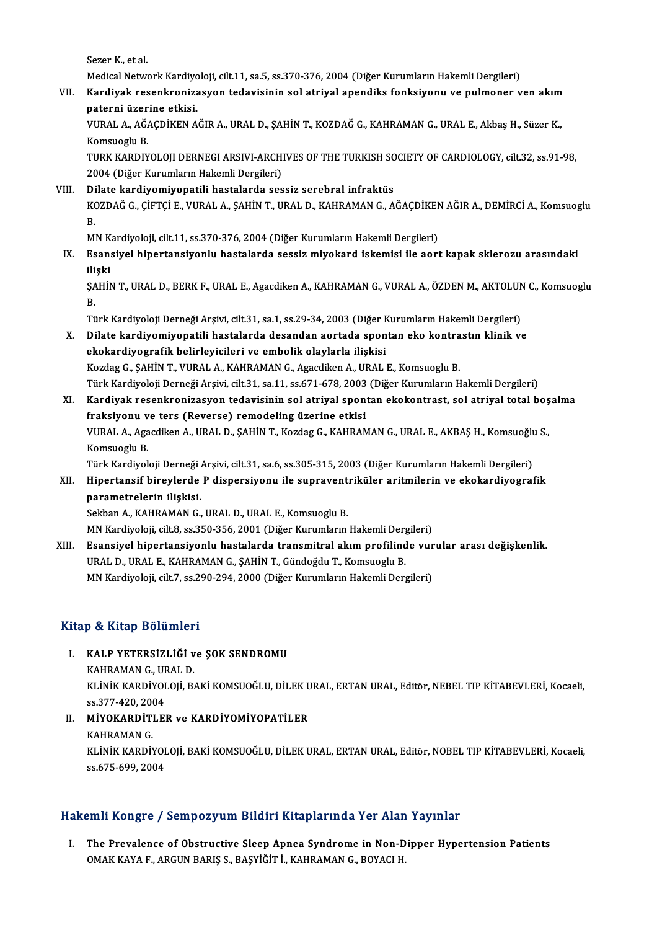Sezer K, et al.

Sezer K., et al.<br>Medical Network Kardiyoloji, cilt.11, sa.5, ss.370-376, 2004 (Diğer Kurumların Hakemli Dergileri)<br>Kardiyak nesenkranizesyen tedevisinin sel strival anendiks fonksiyenu ve nulmaner v

VII. Kardiyak resenkronizasyon tedavisinin sol atriyal apendiks fonksiyonu ve pulmoner ven akım<br>paterni üzerine etkisi. Medical Network Kardiyc<br><mark>Kardiyak resenkroniza</mark><br>paterni üzerine etkisi.<br>VURAL A AČACD<sup>iVEN A</sup> Kardiyak resenkronizasyon tedavisinin sol atriyal apendiks fonksiyonu ve pulmoner ven akım<br>paterni üzerine etkisi.<br>VURAL A., AĞAÇDİKEN AĞIR A., URAL D., ŞAHİN T., KOZDAĞ G., KAHRAMAN G., URAL E., Akbaş H., Süzer K.,<br>Komsue

p<mark>aterni üzer</mark><br>VURAL A., AĞ*l*<br>Komsuoglu B.<br>TURK KARDIV VURAL A., AĞAÇDİKEN AĞIR A., URAL D., ŞAHİN T., KOZDAĞ G., KAHRAMAN G., URAL E., Akbaş H., Süzer K.,<br>Komsuoglu B.<br>TURK KARDIYOLOJI DERNEGI ARSIVI-ARCHIVES OF THE TURKISH SOCIETY OF CARDIOLOGY, cilt.32, ss.91-98,<br>2004 (Diže

Komsuoglu B.<br>TURK KARDIYOLOJI DERNEGI ARSIVI-ARCH<br>2004 (Diğer Kurumların Hakemli Dergileri)<br>Dilata kardiyomiyonatili bastalarda ses 2004 (Diğer Kurumların Hakemli Dergileri)<br>VIII. Dilate kardiyomiyopatili hastalarda sessiz serebral infraktüs

# 2004 (Diğer Kurumların Hakemli Dergileri)<br>Dilate <mark>kardiyomiyopatili hastalarda sessiz serebral infraktüs</mark><br>KOZDAĞ G., ÇİFTÇİ E., VURAL A., ŞAHİN T., URAL D., KAHRAMAN G., AĞAÇDİKEN AĞIR A., DEMİRCİ A., Komsuoglu<br>P Di<br>K<br>B<br>M KOZDAĞ G., ÇİFTÇİ E., VURAL A., ŞAHİN T., URAL D., KAHRAMAN G., AĞAÇDİKEN<br>B.<br>MN Kardiyoloji, cilt.11, ss.370-376, 2004 (Diğer Kurumların Hakemli Dergileri)<br>Feansiyal binartansiyanlı: bastalarda sessir miyakard iskemisi ile

B.<br>MN Kardiyoloji, cilt.11, ss.370-376, 2004 (Diğer Kurumların Hakemli Dergileri)<br>IX. Esansiyel hipertansiyonlu hastalarda sessiz miyokard iskemisi ile aort kapak sklerozu arasındaki<br>iliski MN K<br><mark>Esan:</mark><br>ilişki<br>sauit Esansiyel hipertansiyonlu hastalarda sessiz miyokard iskemisi ile aort kapak sklerozu arasındaki<br>ilişki<br>ŞAHİN T., URAL D., BERK F., URAL E., Agacdiken A., KAHRAMAN G., VURAL A., ÖZDEN M., AKTOLUN C., Komsuoglu<br>P

ili<br>ŞA<br>Tü ŞAHİN T., URAL D., BERK F., URAL E., Agacdiken A., KAHRAMAN G., VURAL A., ÖZDEN M., AKTOLUN<br>B.<br>Türk Kardiyoloji Derneği Arşivi, cilt.31, sa.1, ss.29-34, 2003 (Diğer Kurumların Hakemli Dergileri)<br>Dilate kardiyomiyonatili, b

- B.<br>Türk Kardiyoloji Derneği Arşivi, cilt.31, sa.1, ss.29-34, 2003 (Diğer Kurumların Hakemli Dergileri)<br>X. Dilate kardiyomiyopatili hastalarda desandan aortada spontan eko kontrastın klinik ve<br>Akakadiyografik halinleris Türk Kardiyoloji Derneği Arşivi, cilt.31, sa.1, ss.29-34, 2003 (Diğer k<br>Dilate kardiyomiyopatili hastalarda desandan aortada spon<br>ekokardiyografik belirleyicileri ve embolik olaylarla ilişkisi<br>Kardas G. SAHİN T. VURAL A. K Dilate kardiyomiyopatili hastalarda desandan aortada spontan eko kontra<br>ekokardiyografik belirleyicileri ve embolik olaylarla ilişkisi<br>Kozdag G., ŞAHİN T., VURAL A., KAHRAMAN G., Agacdiken A., URAL E., Komsuoglu B.<br>Türk Ko ekokardiyografik belirleyicileri ve embolik olaylarla ilişkisi<br>Kozdag G., ŞAHİN T., VURAL A., KAHRAMAN G., Agacdiken A., URAL E., Komsuoglu B.<br>Türk Kardiyoloji Derneği Arşivi, cilt.31, sa.11, ss.671-678, 2003 (Diğer Kuruml
- XI. Kardiyak resenkronizasyon tedavisinin sol atriyal spontan ekokontrast, sol atriyal total boşalma Türk Kardiyoloji Derneği Arşivi, cilt.31, sa.11, ss.671-678, 2003<br>Kardiyak resenkronizasyon tedavisinin sol atriyal spon<br>fraksiyonu ve ters (Reverse) remodeling üzerine etkisi<br>VIBAL A Agasdikan A HBALD, SAHİN T. Kardas C. Kardiyak resenkronizasyon tedavisinin sol atriyal spontan ekokontrast, sol atriyal total boş<br>fraksiyonu ve ters (Reverse) remodeling üzerine etkisi<br>VURAL A., Agacdiken A., URAL D., ŞAHİN T., Kozdag G., KAHRAMAN G., URAL E. f<mark>raksiyonu v</mark><br>VURAL A., Aga<br>Komsuoglu B.<br><sup>Türk Kordivol</sup> VURAL A., Agacdiken A., URAL D., ŞAHİN T., Kozdag G., KAHRAMAN G., URAL E., AKBAŞ H., Komsuoğlu<br>Komsuoglu B.<br>Türk Kardiyoloji Derneği Arşivi, cilt.31, sa.6, ss.305-315, 2003 (Diğer Kurumların Hakemli Dergileri)<br>Hinertaneif Komsuoglu B.<br>Türk Kardiyoloji Derneği Arşivi, cilt.31, sa.6, ss.305-315, 2003 (Diğer Kurumların Hakemli Dergileri)<br>XII. Hipertansif bireylerde P dispersiyonu ile supraventriküler aritmilerin ve ekokardiyografik<br>parametrele Türk Kardiyoloji Derneği Arşivi, cilt.31, sa.6, ss.305-315, 2003 (Diğer Kurumların Hakemli Dergileri)
- 

Sekban A., KAHRAMAN G., URAL D., URAL E., Komsuoglu B.

MN Kardiyoloji, cilt.8, ss.350-356, 2001 (Diğer Kurumların Hakemli Dergileri)

XIII. Esansiyel hipertansiyonlu hastalarda transmitral akım profilinde vurular arası değişkenlik. URAL D., URAL E., KAHRAMAN G., ŞAHİN T., Gündoğdu T., Komsuoglu B. MN Kardiyoloji, cilt.7, ss.290-294, 2000 (Diğer Kurumların Hakemli Dergileri)

# Kitap & Kitap Bölümleri

- Itap & Kitap Bölümleri<br>I. KALP YETERSİZLİĞİ ve ŞOK SENDROMU<br>KAHPAMAN GUEALD KALP YETERSİZLİĞİ v<br>KALP YETERSİZLİĞİ v<br>KAHRAMAN G., URAL D.<br>KLİNİK KAPDİYOLOJİ P. KALP YETERSİZLİĞİ ve ŞOK SENDROMU<br>KAHRAMAN G., URAL D.<br>KLİNİK KARDİYOLOJİ, BAKİ KOMSUOĞLU, DİLEK URAL, ERTAN URAL, Editör, NEBEL TIP KİTABEVLERİ, Kocaeli, KAHRAMAN G., UF<br>KLINIK KARDIYOI<br>ss.377-420, 2004<br>Miyoyapditi ei KLİNİK KARDİYOLOJİ, BAKİ KOMSUOĞLU, DİLEK U<br>ss.377-420, 2004<br>II. MİYOKARDİTLER ve KARDİYOMİYOPATİLER
- ss.377-420, 200<br><mark>MİYOKARDİT</mark>I<br>KAHRAMAN G.<br>*v*i İniv vapdiy KAHRAMAN G.<br>KLİNİK KARDİYOLOJİ, BAKİ KOMSUOĞLU, DİLEK URAL, ERTAN URAL, Editör, NOBEL TIP KİTABEVLERİ, Kocaeli, ss.675-699,2004

# Hakemli Kongre / Sempozyum Bildiri Kitaplarında Yer Alan Yayınlar

akemli Kongre / Sempozyum Bildiri Kitaplarında Yer Alan Yayınlar<br>I. The Prevalence of Obstructive Sleep Apnea Syndrome in Non-Dipper Hypertension Patients<br>OMAKKAYA E. APCUN PARIS S. PASVİĞİT İ. KAHRAMAN C. POYACLH OMAK KAYA F., ARGUN BARIŞ S., BAŞYİĞİT İ., KAHRAMAN G., BOYACI H.<br>OMAK KAYA F., ARGUN BARIŞ S., BAŞYİĞİT İ., KAHRAMAN G., BOYACI H.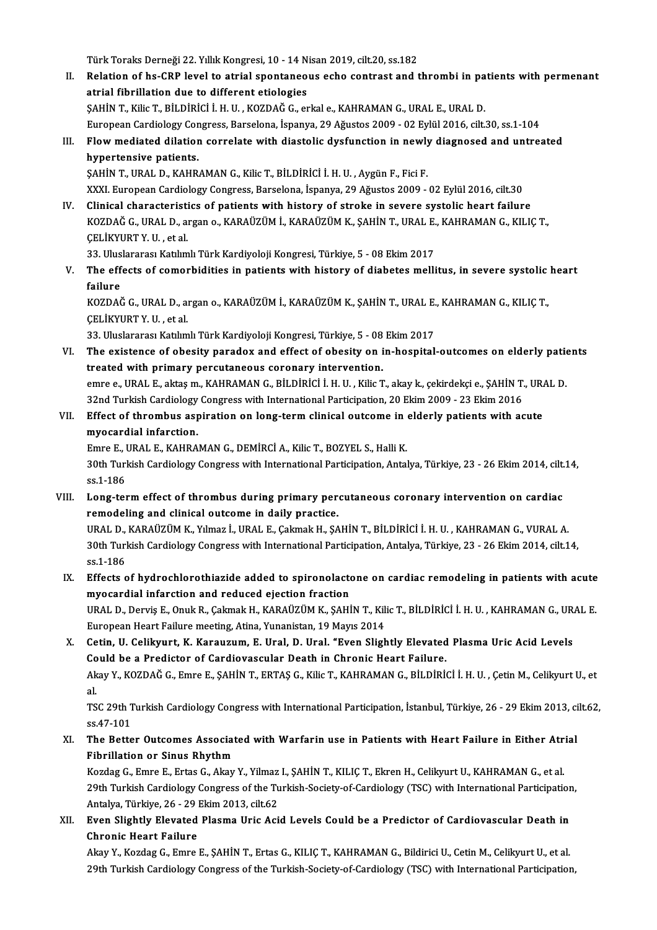Türk Toraks Derneği 22. Yıllık Kongresi, 10 - 14 Nisan 2019, cilt.20, ss.182

- Türk Toraks Derneği 22. Yıllık Kongresi, 10 14 Nisan 2019, cilt.20, ss.182<br>II. Relation of hs-CRP level to atrial spontaneous echo contrast and thrombi in patients with permenant<br> Türk Toraks Derneği 22. Yıllık Kongresi, 10 - 14 N<br>Relation of hs-CRP level to atrial spontaneo<br>atrial fibrillation due to different etiologies<br>SAHIN T. Kika T. Pit Dipici i, H. H. KOZDAČ C. ex Relation of hs-CRP level to atrial spontaneous echo contrast and thrombi in pa<br>atrial fibrillation due to different etiologies<br>ŞAHİN T., Kilic T., BİLDİRİCİ İ.H.U., KOZDAĞ G., erkal e., KAHRAMAN G., URAL E., URAL D.<br>Europe atrial fibrillation due to different etiologies<br>ŞAHİN T., Kilic T., BİLDİRİCİ İ. H. U. , KOZDAĞ G., erkal e., KAHRAMAN G., URAL E., URAL D.<br>European Cardiology Congress, Barselona, İspanya, 29 Ağustos 2009 - 02 Eylül 2016, \$AHIN T., Kilic T., BILDIRICI I. H. U. , KOZDAĞ G., erkal e., KAHRAMAN G., URAL E., URAL D.<br>European Cardiology Congress, Barselona, İspanya, 29 Ağustos 2009 - 02 Eylül 2016, cilt.30, ss.1-104<br>III. Flow mediated dilation c
- hypertensive patients.<br>SAHİN T., URAL D., KAHRAMAN G., Kilic T., BİLDİRİCİ İ. H. U. , Aygün F., Fici F. Flow mediated dilation correlate with diastolic dysfunction in newly<br>hypertensive patients.<br>ŞAHİN T., URAL D., KAHRAMAN G., Kilic T., BİLDİRİCİ İ.H. U. , Aygün F., Fici F.<br>YYYL European Cardialagy Congress, Barselana, İspa

XXXI.EuropeanCardiologyCongress,Barselona, İspanya,29Ağustos2009 -02Eylül2016, cilt.30 SAHIN T., URAL D., KAHRAMAN G., Kilic T., BILDIRICI I. H. U. , Aygün F., Fici F.<br>XXXI. European Cardiology Congress, Barselona, İspanya, 29 Ağustos 2009 - 02 Eylül 2016, cilt.30<br>IV. Clinical characteristics of patients wit

XXXI. European Cardiology Congress, Barselona, İspanya, 29 Ağustos 2009 - 02 Eylül 2016, cilt.30<br>Clinical characteristics of patients with history of stroke in severe systolic heart failure<br>KOZDAĞ G., URAL D., argan o., KA Clinical characteristi<br>KOZDAĞ G., URAL D., a:<br>ÇELİKYURT Y. U. , et al.<br><sup>22. Uluclararası Katlım</sup> KOZDAĞ G., URAL D., argan o., KARAÜZÜM İ., KARAÜZÜM K., ŞAHİN T., URAL E., KAHRAMAN G., KILIÇ T.,<br>ÇELİKYURT Y. U. , et al.<br>33. Uluslararası Katılımlı Türk Kardiyoloji Kongresi, Türkiye, 5 - 08 Ekim 2017

CELİKYURT Y. U. , et al.<br>33. Uluslararası Katılımlı Türk Kardiyoloji Kongresi, Türkiye, 5 - 08 Ekim 2017<br>V. The effects of comorbidities in patients with history of diabetes mellitus, in severe systolic heart<br>failure 33. Ulus<br>The eff<br>failure<br>KOZDAČ The effects of comorbidities in patients with history of diabetes mellitus, in severe systolic<br>failure<br>KOZDAĞ G., URAL D., argan o., KARAÜZÜM İ., KARAÜZÜM K., ŞAHİN T., URAL E., KAHRAMAN G., KILIÇ T.,<br>CELİYYURT Y. H. et el

failure<br>KOZDAĞ G., URAL D., an<br>ÇELİKYURT Y. U. , et al.<br><sup>22. Uluclaranacı Katılım</sup> KOZDAĞ G., URAL D., argan o., KARAÜZÜM İ., KARAÜZÜM K., ŞAHİN T., URAL E.<br>ÇELİKYURT Y. U. , et al.<br>33. Uluslararası Katılımlı Türk Kardiyoloji Kongresi, Türkiye, 5 - 08 Ekim 2017<br>The evistense of ebesity navadov and effect

CELİKYURT Y. U. , et al.<br>33. Uluslararası Katılımlı Türk Kardiyoloji Kongresi, Türkiye, 5 - 08 Ekim 2017<br>VI. The existence of obesity paradox and effect of obesity on in-hospital-outcomes on elderly patients<br>treated wi 33. Uluslararası Katılımlı Türk Kardiyoloji Kongresi, Türkiye, 5 - 08<br>The existence of obesity paradox and effect of obesity on i<br>treated with primary percutaneous coronary intervention.<br>smrs e UPAL E altrem KAURAMAN G BU The existence of obesity paradox and effect of obesity on in-hospital-outcomes on elderly pation<br>treated with primary percutaneous coronary intervention.<br>emre e., URAL E., aktaşm., KAHRAMAN G., BİLDİRİCİ İ. H. U. , Kilic T treated with primary percutaneous coronary intervention.<br>
emre e., URAL E., aktaş m., KAHRAMAN G., BİLDİRİCİ İ. H. U. , Kilic T., akay k., çekirdekçi e., ŞAHİN T., URAL D.<br>
32nd Turkish Cardiology Congress with Internation emre e., URAL E., aktaş m., KAHRAMAN G., BİLDİRİCİ İ. H. U. , Kilic T., akay k., çekirdekçi e., ŞAHİN T., UR.<br>32nd Turkish Cardiology Congress with International Participation, 20 Ekim 2009 - 23 Ekim 2016<br>VII. Effect of th

# 32nd Turkish Cardiology<br>Effect of thrombus asy<br>myocardial infarction.<br>Emre E. UPAL E. KAHPA Effect of thrombus aspiration on long-term clinical outcome in (myocardial infarction.<br>Emre E., URAL E., KAHRAMAN G., DEMİRCİ A., Kilic T., BOZYEL S., Halli K.<br>20th Turkish Cardialagy Congress with International Perticipat

Emre E., URAL E., KAHRAMAN G., DEMİRCİ A., Kilic T., BOZYEL S., Halli K.

myocardial infarction.<br>30th Turkish Cardiology Congress with International Participation, Antalya, Türkiye, 23 - 26 Ekim 2014, cilt.14,<br>30th Turkish Cardiology Congress with International Participation, Antalya, Türkiye, 2 30th Turkish Cardiology Congress with International Participation, Antalya, Türkiye, 23 - 26 Ekim 2014, cilt.<br>ss.1-186<br>VIII. Long-term effect of thrombus during primary percutaneous coronary intervention on cardiac<br>remodel

remodeling and clinical outcome in daily practice. Long-term effect of thrombus during primary percutaneous coronary intervention on cardiac<br>remodeling and clinical outcome in daily practice.<br>URAL D., KARAÜZÜM K., Yılmaz İ., URAL E., Çakmak H., ŞAHİN T., BİLDİRİCİ İ. H. U.

30th Turkish Cardiology Congress with International Participation, Antalya, Türkiye, 23 - 26 Ekim 2014, cilt.14, ss.1-186 URAL D., KARAÜZÜM K., Yılmaz İ., URAL E., Çakmak H., ŞAHİN T., BİLDİRİCİ İ. H. U., KAHRAMAN G., VURAL A. 30th Turkish Cardiology Congress with International Participation, Antalya, Türkiye, 23 - 26 Ekim 2014, cilt.14,<br>ss.1-186<br>IX. Effects of hydrochlorothiazide added to spironolactone on cardiac remodeling in patients with ac

- ss.1-186<br>Effects of hydrochlorothiazide added to spironolacto<br>myocardial infarction and reduced ejection fraction<br>UPALD Dewis E. Opul: P. Calmek H. KARAÜZÜM K. SAHİ Effects of hydrochlorothiazide added to spironolactone on cardiac remodeling in patients with acute<br>myocardial infarction and reduced ejection fraction<br>URAL D., Derviş E., Onuk R., Çakmak H., KARAÜZÜM K., ŞAHİN T., Kilic T myocardial infarction and reduced ejection fraction<br>URAL D., Derviş E., Onuk R., Çakmak H., KARAÜZÜM K., ŞAHİN T., Kili<br>European Heart Failure meeting, Atina, Yunanistan, 19 Mayıs 2014<br>Cetin, H. Celiluwyt, K. Kanayızum, E.
- URAL D., Derviş E., Onuk R., Çakmak H., KARAÜZÜM K., ŞAHİN T., Kilic T., BİLDİRİCİ İ. H. U. , KAHRAMAN G., UR<br>European Heart Failure meeting, Atina, Yunanistan, 19 Mayıs 2014<br>X. Cetin, U. Celikyurt, K. Karauzum, E. Ural, D European Heart Failure meeting, Atina, Yunanistan, 19 Mayıs 2014<br>X. Cetin, U. Celikyurt, K. Karauzum, E. Ural, D. Ural. "Even Slightly Elevated Plasma Uric Acid Levels<br>Could be a Predictor of Cardiovascular Death in Chroni Akay Y., KOZDAĞ G., Emre E., ŞAHİN T., ERTAŞ G., Kilic T., KAHRAMAN G., BİLDİRİCİ İ. H. U. , Çetin M., Celikyurt U., et<br>al Co<br>Ak<br>al<br>Tc Akay Y., KOZDAĞ G., Emre E., ŞAHİN T., ERTAŞ G., Kilic T., KAHRAMAN G., BİLDİRİCİ İ. H. U. , Çetin M., Celikyurt U., et<br>al.<br>TSC 29th Turkish Cardiology Congress with International Participation, İstanbul, Türkiye, 26 - 29

al.<br>TSC 29th T<br>ss.47-101<br>The Batte TSC 29th Turkish Cardiology Congress with International Participation, İstanbul, Türkiye, 26 - 29 Ekim 2013, ci<br>ss.47-101<br>XI. The Better Outcomes Associated with Warfarin use in Patients with Heart Failure in Either Atrial

ss.47-101<br>XI. The Better Outcomes Associated with Warfarin use in Patients with Heart Failure in Either Atrial<br>Fibrillation or Sinus Rhythm The Better Outcomes Associated with Warfarin use in Patients with Heart Failure in Either Atr<br>Fibrillation or Sinus Rhythm<br>Kozdag G., Emre E., Ertas G., Akay Y., Yilmaz I., ŞAHİN T., KILIÇ T., Ekren H., Celikyurt U., KAHRA

29th Turkish Cardiology Congress of the Turkish-Society-of-Cardiology (TSC) with International Participation,<br>Antalya, Türkiye, 26 - 29 Ekim 2013, cilt.62 Kozdag G., Emre E., Ertas G., Akay Y., Yilmaz<br>29th Turkish Cardiology Congress of the Tu<br>Antalya, Türkiye, 26 - 29 Ekim 2013, cilt.62<br>Even Slightly, Elevated Blasma Unis Asi 29th Turkish Cardiology Congress of the Turkish-Society-of-Cardiology (TSC) with International Participation<br>Antalya, Türkiye, 26 - 29 Ekim 2013, cilt.62<br>XII. Even Slightly Elevated Plasma Uric Acid Levels Could be a Predi

Antalya, Türkiye, 26 - 29 |<br>Even Slightly Elevated<br>Chronic Heart Failure<br>Almy V. Kordes C. Emre Even Slightly Elevated Plasma Uric Acid Levels Could be a Predictor of Cardiovascular Death in<br>Chronic Heart Failure<br>Akay Y., Kozdag G., Emre E., ŞAHİN T., Ertas G., KILIÇ T., KAHRAMAN G., Bildirici U., Cetin M., Celikyurt

Chronic Heart Failure<br>Akay Y., Kozdag G., Emre E., ŞAHİN T., Ertas G., KILIÇ T., KAHRAMAN G., Bildirici U., Cetin M., Celikyurt U., et al.<br>29th Turkish Cardiology Congress of the Turkish-Society-of-Cardiology (TSC) with In